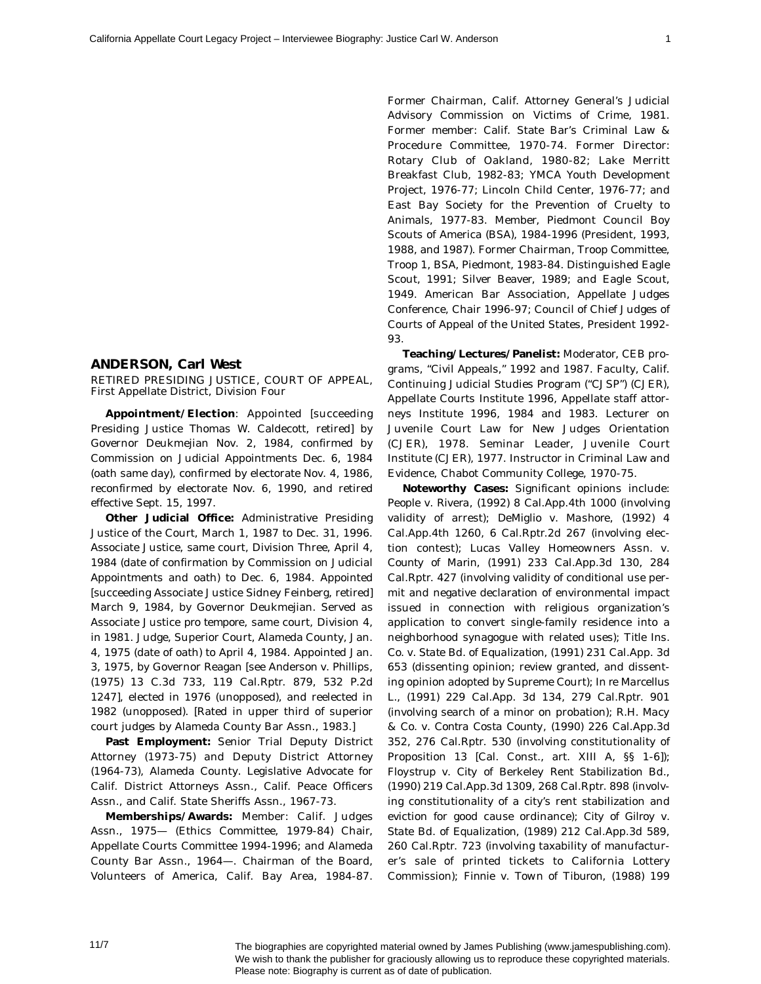## **ANDERSON, Carl West**

RETIRED PRESIDING JUSTICE, COURT OF APPEAL, First Appellate District, Division Four

**Appointment/Election**: Appointed [succeeding Presiding Justice Thomas W. Caldecott, retired] by Governor Deukmejian Nov. 2, 1984, confirmed by Commission on Judicial Appointments Dec. 6, 1984 (oath same day), confirmed by electorate Nov. 4, 1986, reconfirmed by electorate Nov. 6, 1990, and retired effective Sept. 15, 1997.

**Other Judicial Office:** Administrative Presiding Justice of the Court, March 1, 1987 to Dec. 31, 1996. Associate Justice, same court, Division Three, April 4, 1984 (date of confirmation by Commission on Judicial Appointments and oath) to Dec. 6, 1984. Appointed [succeeding Associate Justice Sidney Feinberg, retired] March 9, 1984, by Governor Deukmejian. Served as Associate Justice *pro tempore*, same court, Division 4, in 1981. Judge, Superior Court, Alameda County, Jan. 4, 1975 (date of oath) to April 4, 1984. Appointed Jan. 3, 1975, by Governor Reagan [see *Anderson v. Phillips*, (1975) 13 C.3d 733, 119 Cal.Rptr. 879, 532 P.2d 1247], elected in 1976 (unopposed), and reelected in 1982 (unopposed). [Rated in upper third of superior court judges by Alameda County Bar Assn., 1983.]

**Past Employment:** Senior Trial Deputy District Attorney (1973-75) and Deputy District Attorney (1964-73), Alameda County. Legislative Advocate for Calif. District Attorneys Assn., Calif. Peace Officers Assn., and Calif. State Sheriffs Assn., 1967-73.

**Memberships/Awards:** Member: Calif. Judges Assn., 1975— (Ethics Committee, 1979-84) Chair, Appellate Courts Committee 1994-1996; and Alameda County Bar Assn., 1964—. Chairman of the Board, Volunteers of America, Calif. Bay Area, 1984-87. Former Chairman, Calif. Attorney General's Judicial Advisory Commission on Victims of Crime, 1981. Former member: Calif. State Bar's Criminal Law & Procedure Committee, 1970-74. Former Director: Rotary Club of Oakland, 1980-82; Lake Merritt Breakfast Club, 1982-83; YMCA Youth Development Project, 1976-77; Lincoln Child Center, 1976-77; and East Bay Society for the Prevention of Cruelty to Animals, 1977-83. Member, Piedmont Council Boy Scouts of America (BSA), 1984-1996 (President, 1993, 1988, and 1987). Former Chairman, Troop Committee, Troop 1, BSA, Piedmont, 1983-84. Distinguished Eagle Scout, 1991; Silver Beaver, 1989; and Eagle Scout, 1949. American Bar Association, Appellate Judges Conference, Chair 1996-97; Council of Chief Judges of Courts of Appeal of the United States, President 1992- 93.

**Teaching/Lectures/Panelist:** Moderator, CEB programs, "Civil Appeals," 1992 and 1987. Faculty, Calif. Continuing Judicial Studies Program ("CJSP") (CJER), Appellate Courts Institute 1996, Appellate staff attorneys Institute 1996, 1984 and 1983. Lecturer on Juvenile Court Law for New Judges Orientation (CJER), 1978. Seminar Leader, Juvenile Court Institute (CJER), 1977. Instructor in Criminal Law and Evidence, Chabot Community College, 1970-75.

**Noteworthy Cases:** Significant opinions include: *People v. Rivera*, (1992) 8 Cal.App.4th 1000 (involving validity of arrest); *DeMiglio v. Mashore*, (1992) 4 Cal.App.4th 1260, 6 Cal.Rptr.2d 267 (involving election contest); *Lucas Valley Homeowners Assn. v. County of Marin*, (1991) 233 Cal.App.3d 130, 284 Cal.Rptr. 427 (involving validity of conditional use permit and negative declaration of environmental impact issued in connection with religious organization's application to convert single-family residence into a neighborhood synagogue with related uses); *Title Ins. Co. v. State Bd. of Equalization*, (1991) 231 Cal.App. 3d 653 (dissenting opinion; review granted, and dissenting opinion adopted by Supreme Court); *In re Marcellus L.*, (1991) 229 Cal.App. 3d 134, 279 Cal.Rptr. 901 (involving search of a minor on probation); *R.H. Macy & Co. v. Contra Costa County*, (1990) 226 Cal.App.3d 352, 276 Cal.Rptr. 530 (involving constitutionality of Proposition 13 [Cal. Const., art. XIII A, §§ 1-6]); *Floystrup v. City of Berkeley Rent Stabilization Bd.*, (1990) 219 Cal.App.3d 1309, 268 Cal.Rptr. 898 (involving constitutionality of a city's rent stabilization and eviction for good cause ordinance); *City of Gilroy v. State Bd. of Equalization*, (1989) 212 Cal.App.3d 589, 260 Cal.Rptr. 723 (involving taxability of manufacturer's sale of printed tickets to California Lottery Commission); *Finnie v. Town of Tiburon*, (1988) 199